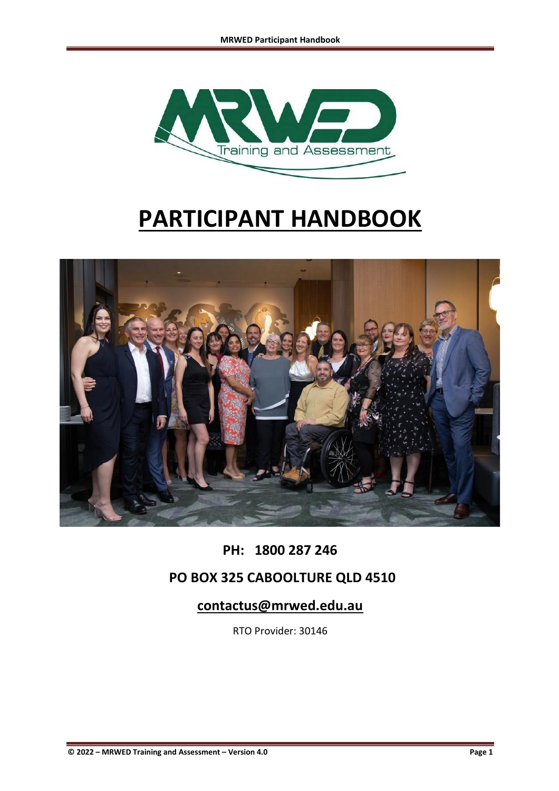

# **PARTICIPANT HANDBOOK**



# **PH: 1800 287 246**

## **PO BOX 325 CABOOLTURE QLD 4510**

## **contactus@mrwed.edu.au**

RTO Provider: 30146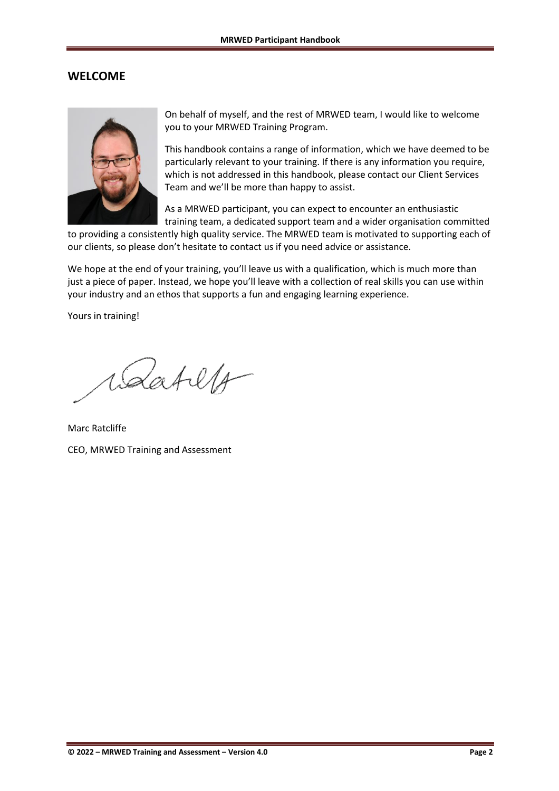#### <span id="page-1-0"></span>**WELCOME**



On behalf of myself, and the rest of MRWED team, I would like to welcome you to your MRWED Training Program.

This handbook contains a range of information, which we have deemed to be particularly relevant to your training. If there is any information you require, which is not addressed in this handbook, please contact our Client Services Team and we'll be more than happy to assist.

As a MRWED participant, you can expect to encounter an enthusiastic training team, a dedicated support team and a wider organisation committed

to providing a consistently high quality service. The MRWED team is motivated to supporting each of our clients, so please don't hesitate to contact us if you need advice or assistance.

We hope at the end of your training, you'll leave us with a qualification, which is much more than just a piece of paper. Instead, we hope you'll leave with a collection of real skills you can use within your industry and an ethos that supports a fun and engaging learning experience.

Yours in training!

Wartelf

Marc Ratcliffe CEO, MRWED Training and Assessment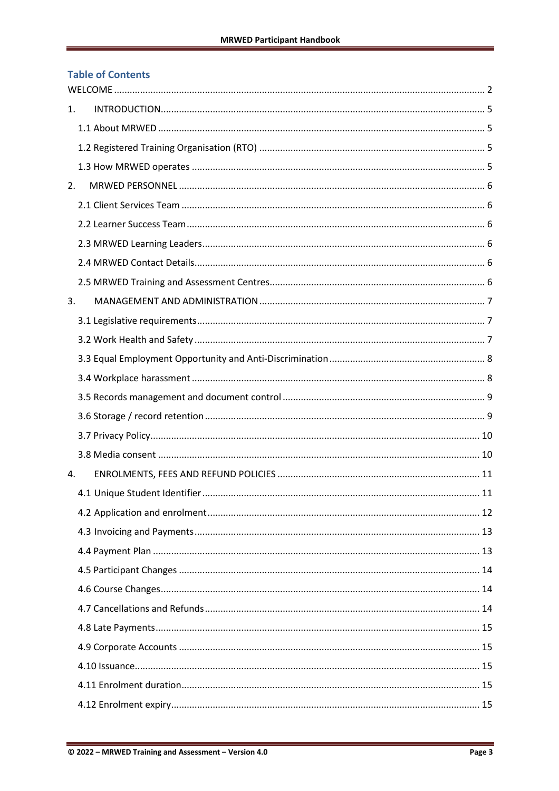#### **Table of Contents**

| 1. |  |  |  |  |
|----|--|--|--|--|
|    |  |  |  |  |
|    |  |  |  |  |
|    |  |  |  |  |
| 2. |  |  |  |  |
|    |  |  |  |  |
|    |  |  |  |  |
|    |  |  |  |  |
|    |  |  |  |  |
|    |  |  |  |  |
| 3. |  |  |  |  |
|    |  |  |  |  |
|    |  |  |  |  |
|    |  |  |  |  |
|    |  |  |  |  |
|    |  |  |  |  |
|    |  |  |  |  |
|    |  |  |  |  |
|    |  |  |  |  |
| 4. |  |  |  |  |
|    |  |  |  |  |
|    |  |  |  |  |
|    |  |  |  |  |
|    |  |  |  |  |
|    |  |  |  |  |
|    |  |  |  |  |
|    |  |  |  |  |
|    |  |  |  |  |
|    |  |  |  |  |
|    |  |  |  |  |
|    |  |  |  |  |
|    |  |  |  |  |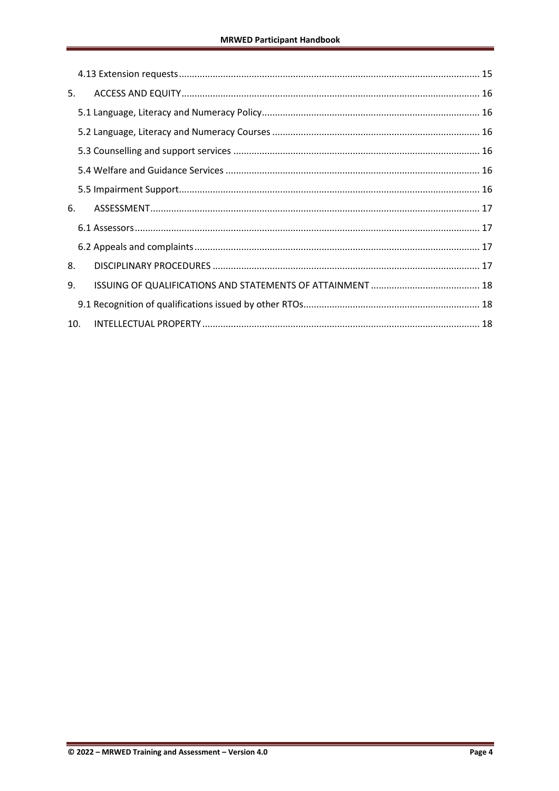| 5.  |  |  |
|-----|--|--|
|     |  |  |
|     |  |  |
|     |  |  |
|     |  |  |
|     |  |  |
| 6.  |  |  |
|     |  |  |
|     |  |  |
| 8.  |  |  |
| 9.  |  |  |
|     |  |  |
| 10. |  |  |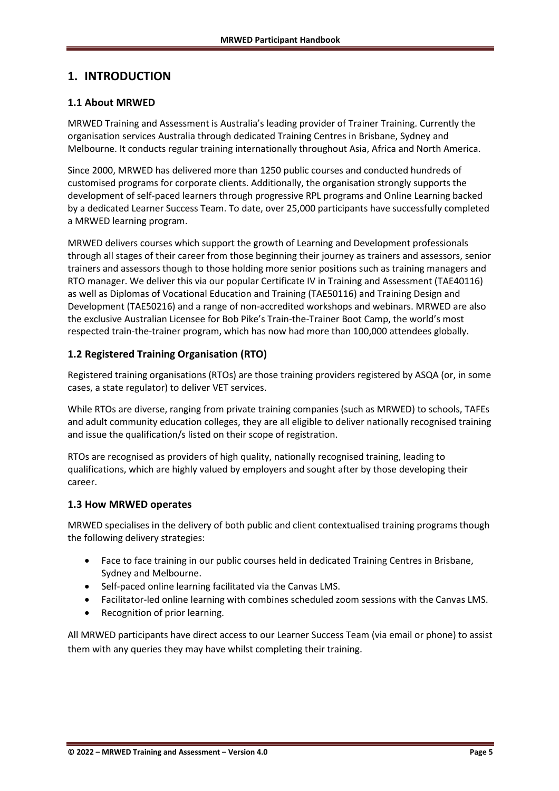## <span id="page-4-0"></span>**1. INTRODUCTION**

#### <span id="page-4-1"></span>**1.1 About MRWED**

MRWED Training and Assessment is Australia's leading provider of Trainer Training. Currently the organisation services Australia through dedicated Training Centres in Brisbane, Sydney and Melbourne. It conducts regular training internationally throughout Asia, Africa and North America.

Since 2000, MRWED has delivered more than 1250 public courses and conducted hundreds of customised programs for corporate clients. Additionally, the organisation strongly supports the development of self-paced learners through progressive RPL programs and Online Learning backed by a dedicated Learner Success Team. To date, over 25,000 participants have successfully completed a MRWED learning program.

MRWED delivers courses which support the growth of Learning and Development professionals through all stages of their career from those beginning their journey as trainers and assessors, senior trainers and assessors though to those holding more senior positions such as training managers and RTO manager. We deliver this via our popular Certificate IV in Training and Assessment (TAE40116) as well as Diplomas of Vocational Education and Training (TAE50116) and Training Design and Development (TAE50216) and a range of non-accredited workshops and webinars. MRWED are also the exclusive Australian Licensee for Bob Pike's Train-the-Trainer Boot Camp, the world's most respected train-the-trainer program, which has now had more than 100,000 attendees globally.

#### <span id="page-4-2"></span>**1.2 Registered Training Organisation (RTO)**

Registered training organisations (RTOs) are those training providers registered by ASQA (or, in some cases, a state regulator) to deliver VET services.

While RTOs are diverse, ranging from private training companies (such as MRWED) to schools, TAFEs and adult community education colleges, they are all eligible to deliver nationally recognised training and issue the qualification/s listed on their scope of registration.

RTOs are recognised as providers of high quality, nationally recognised training, leading to qualifications, which are highly valued by employers and sought after by those developing their career.

#### <span id="page-4-3"></span>**1.3 How MRWED operates**

MRWED specialises in the delivery of both public and client contextualised training programs though the following delivery strategies:

- Face to face training in our public courses held in dedicated Training Centres in Brisbane, Sydney and Melbourne.
- Self-paced online learning facilitated via the Canvas LMS.
- Facilitator-led online learning with combines scheduled zoom sessions with the Canvas LMS.
- Recognition of prior learning.

All MRWED participants have direct access to our Learner Success Team (via email or phone) to assist them with any queries they may have whilst completing their training.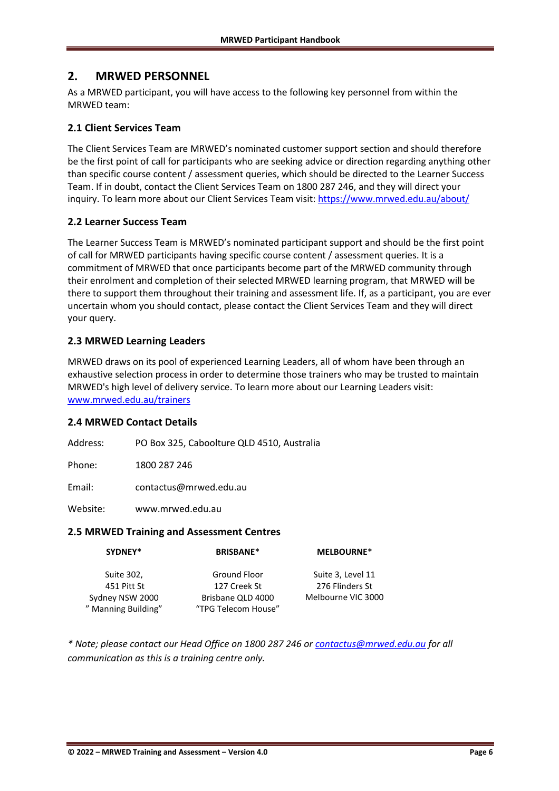## <span id="page-5-0"></span>**2. MRWED PERSONNEL**

As a MRWED participant, you will have access to the following key personnel from within the MRWED team:

#### <span id="page-5-1"></span>**2.1 Client Services Team**

The Client Services Team are MRWED's nominated customer support section and should therefore be the first point of call for participants who are seeking advice or direction regarding anything other than specific course content / assessment queries, which should be directed to the Learner Success Team. If in doubt, contact the Client Services Team on 1800 287 246, and they will direct your inquiry. To learn more about our Client Services Team visit[: https://www.mrwed.edu.au/about/](https://www.mrwed.edu.au/about/)

#### <span id="page-5-2"></span>**2.2 Learner Success Team**

The Learner Success Team is MRWED's nominated participant support and should be the first point of call for MRWED participants having specific course content / assessment queries. It is a commitment of MRWED that once participants become part of the MRWED community through their enrolment and completion of their selected MRWED learning program, that MRWED will be there to support them throughout their training and assessment life. If, as a participant, you are ever uncertain whom you should contact, please contact the Client Services Team and they will direct your query.

#### <span id="page-5-3"></span>**2.3 MRWED Learning Leaders**

MRWED draws on its pool of experienced Learning Leaders, all of whom have been through an exhaustive selection process in order to determine those trainers who may be trusted to maintain MRWED's high level of delivery service. To learn more about our Learning Leaders visit: [www.mrwed.edu.au/trainers](http://www.mrwed.edu.au/trainers)

#### <span id="page-5-4"></span>**2.4 MRWED Contact Details**

Address: PO Box 325, Caboolture QLD 4510, Australia

Phone: 1800 287 246

Email: [contactus@mrwed.edu.au](mailto:contactus@mrwed.edu.au)

Website: [www.mrwed.edu.au](http://www.mrwed.edu.au/)

#### <span id="page-5-5"></span>**2.5 MRWED Training and Assessment Centres**

| SYDNEY*             | <b>BRISBANE*</b>    | <b>MELBOURNE*</b>  |  |
|---------------------|---------------------|--------------------|--|
| Suite 302,          | Ground Floor        | Suite 3, Level 11  |  |
| 451 Pitt St         | 127 Creek St        | 276 Flinders St    |  |
| Sydney NSW 2000     | Brisbane QLD 4000   | Melbourne VIC 3000 |  |
| " Manning Building" | "TPG Telecom House" |                    |  |

*\* Note; please contact our Head Office on 1800 287 246 or [contactus@mrwed.edu.au](mailto:contactus@mrwed.edu.au) for all communication as this is a training centre only.*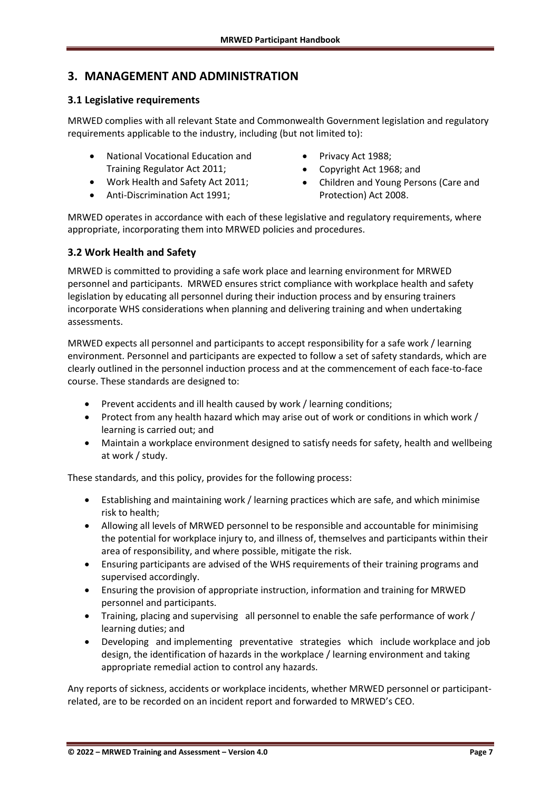## <span id="page-6-0"></span>**3. MANAGEMENT AND ADMINISTRATION**

#### <span id="page-6-1"></span>**3.1 Legislative requirements**

MRWED complies with all relevant State and Commonwealth Government legislation and regulatory requirements applicable to the industry, including (but not limited to):

- National Vocational Education and Training Regulator Act 2011;
- Work Health and Safety Act 2011;
- Anti-Discrimination Act 1991;
- Privacy Act 1988;
- Copyright Act 1968; and
- Children and Young Persons (Care and Protection) Act 2008.

MRWED operates in accordance with each of these legislative and regulatory requirements, where appropriate, incorporating them into MRWED policies and procedures.

#### <span id="page-6-2"></span>**3.2 Work Health and Safety**

MRWED is committed to providing a safe work place and learning environment for MRWED personnel and participants. MRWED ensures strict compliance with workplace health and safety legislation by educating all personnel during their induction process and by ensuring trainers incorporate WHS considerations when planning and delivering training and when undertaking assessments.

MRWED expects all personnel and participants to accept responsibility for a safe work / learning environment. Personnel and participants are expected to follow a set of safety standards, which are clearly outlined in the personnel induction process and at the commencement of each face-to-face course. These standards are designed to:

- Prevent accidents and ill health caused by work / learning conditions;
- Protect from any health hazard which may arise out of work or conditions in which work / learning is carried out; and
- Maintain a workplace environment designed to satisfy needs for safety, health and wellbeing at work / study.

These standards, and this policy, provides for the following process:

- Establishing and maintaining work / learning practices which are safe, and which minimise risk to health;
- Allowing all levels of MRWED personnel to be responsible and accountable for minimising the potential for workplace injury to, and illness of, themselves and participants within their area of responsibility, and where possible, mitigate the risk.
- Ensuring participants are advised of the WHS requirements of their training programs and supervised accordingly.
- Ensuring the provision of appropriate instruction, information and training for MRWED personnel and participants.
- Training, placing and supervising all personnel to enable the safe performance of work / learning duties; and
- Developing and implementing preventative strategies which include workplace and job design, the identification of hazards in the workplace / learning environment and taking appropriate remedial action to control any hazards.

Any reports of sickness, accidents or workplace incidents, whether MRWED personnel or participantrelated, are to be recorded on an incident report and forwarded to MRWED's CEO.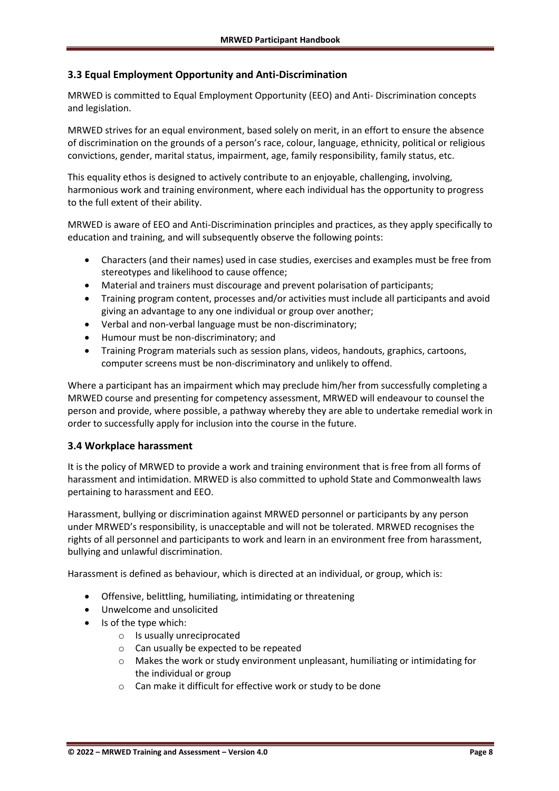#### <span id="page-7-0"></span>**3.3 Equal Employment Opportunity and Anti-Discrimination**

MRWED is committed to Equal Employment Opportunity (EEO) and Anti- Discrimination concepts and legislation.

MRWED strives for an equal environment, based solely on merit, in an effort to ensure the absence of discrimination on the grounds of a person's race, colour, language, ethnicity, political or religious convictions, gender, marital status, impairment, age, family responsibility, family status, etc.

This equality ethos is designed to actively contribute to an enjoyable, challenging, involving, harmonious work and training environment, where each individual has the opportunity to progress to the full extent of their ability.

MRWED is aware of EEO and Anti-Discrimination principles and practices, as they apply specifically to education and training, and will subsequently observe the following points:

- Characters (and their names) used in case studies, exercises and examples must be free from stereotypes and likelihood to cause offence;
- Material and trainers must discourage and prevent polarisation of participants;
- Training program content, processes and/or activities must include all participants and avoid giving an advantage to any one individual or group over another;
- Verbal and non-verbal language must be non-discriminatory;
- Humour must be non-discriminatory; and
- Training Program materials such as session plans, videos, handouts, graphics, cartoons, computer screens must be non-discriminatory and unlikely to offend.

Where a participant has an impairment which may preclude him/her from successfully completing a MRWED course and presenting for competency assessment, MRWED will endeavour to counsel the person and provide, where possible, a pathway whereby they are able to undertake remedial work in order to successfully apply for inclusion into the course in the future.

#### <span id="page-7-1"></span>**3.4 Workplace harassment**

It is the policy of MRWED to provide a work and training environment that is free from all forms of harassment and intimidation. MRWED is also committed to uphold State and Commonwealth laws pertaining to harassment and EEO.

Harassment, bullying or discrimination against MRWED personnel or participants by any person under MRWED's responsibility, is unacceptable and will not be tolerated. MRWED recognises the rights of all personnel and participants to work and learn in an environment free from harassment, bullying and unlawful discrimination.

Harassment is defined as behaviour, which is directed at an individual, or group, which is:

- Offensive, belittling, humiliating, intimidating or threatening
- Unwelcome and unsolicited
- Is of the type which:
	- o Is usually unreciprocated
	- o Can usually be expected to be repeated
	- $\circ$  Makes the work or study environment unpleasant, humiliating or intimidating for the individual or group
	- o Can make it difficult for effective work or study to be done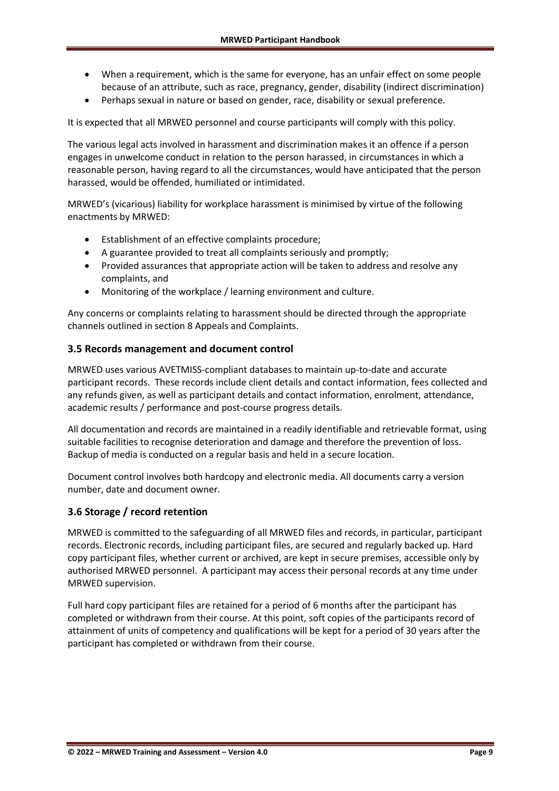- When a requirement, which is the same for everyone, has an unfair effect on some people because of an attribute, such as race, pregnancy, gender, disability (indirect discrimination)
- Perhaps sexual in nature or based on gender, race, disability or sexual preference.

It is expected that all MRWED personnel and course participants will comply with this policy.

The various legal acts involved in harassment and discrimination makes it an offence if a person engages in unwelcome conduct in relation to the person harassed, in circumstances in which a reasonable person, having regard to all the circumstances, would have anticipated that the person harassed, would be offended, humiliated or intimidated.

MRWED's (vicarious) liability for workplace harassment is minimised by virtue of the following enactments by MRWED:

- Establishment of an effective complaints procedure;
- A guarantee provided to treat all complaints seriously and promptly;
- Provided assurances that appropriate action will be taken to address and resolve any complaints, and
- Monitoring of the workplace / learning environment and culture.

Any concerns or complaints relating to harassment should be directed through the appropriate channels outlined in section 8 Appeals and Complaints.

#### <span id="page-8-0"></span>**3.5 Records management and document control**

MRWED uses various AVETMISS-compliant databases to maintain up-to-date and accurate participant records. These records include client details and contact information, fees collected and any refunds given, as well as participant details and contact information, enrolment, attendance, academic results / performance and post-course progress details.

All documentation and records are maintained in a readily identifiable and retrievable format, using suitable facilities to recognise deterioration and damage and therefore the prevention of loss. Backup of media is conducted on a regular basis and held in a secure location.

Document control involves both hardcopy and electronic media. All documents carry a version number, date and document owner.

#### <span id="page-8-1"></span>**3.6 Storage / record retention**

MRWED is committed to the safeguarding of all MRWED files and records, in particular, participant records. Electronic records, including participant files, are secured and regularly backed up. Hard copy participant files, whether current or archived, are kept in secure premises, accessible only by authorised MRWED personnel. A participant may access their personal records at any time under MRWED supervision.

Full hard copy participant files are retained for a period of 6 months after the participant has completed or withdrawn from their course. At this point, soft copies of the participants record of attainment of units of competency and qualifications will be kept for a period of 30 years after the participant has completed or withdrawn from their course.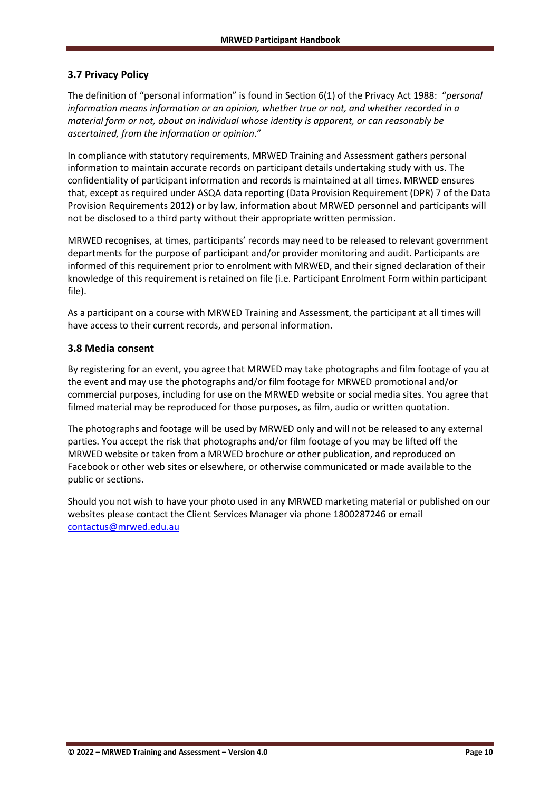#### <span id="page-9-0"></span>**3.7 Privacy Policy**

The definition of "personal information" is found in Section 6(1) of the Privacy Act 1988: "*personal information means information or an opinion, whether true or not, and whether recorded in a material form or not, about an individual whose identity is apparent, or can reasonably be ascertained, from the information or opinion*."

In compliance with statutory requirements, MRWED Training and Assessment gathers personal information to maintain accurate records on participant details undertaking study with us. The confidentiality of participant information and records is maintained at all times. MRWED ensures that, except as required under ASQA data reporting (Data Provision Requirement (DPR) 7 of the Data Provision Requirements 2012) or by law, information about MRWED personnel and participants will not be disclosed to a third party without their appropriate written permission.

MRWED recognises, at times, participants' records may need to be released to relevant government departments for the purpose of participant and/or provider monitoring and audit. Participants are informed of this requirement prior to enrolment with MRWED, and their signed declaration of their knowledge of this requirement is retained on file (i.e. Participant Enrolment Form within participant file).

As a participant on a course with MRWED Training and Assessment, the participant at all times will have access to their current records, and personal information.

#### <span id="page-9-1"></span>**3.8 Media consent**

By registering for an event, you agree that MRWED may take photographs and film footage of you at the event and may use the photographs and/or film footage for MRWED promotional and/or commercial purposes, including for use on the MRWED website or social media sites. You agree that filmed material may be reproduced for those purposes, as film, audio or written quotation.

The photographs and footage will be used by MRWED only and will not be released to any external parties. You accept the risk that photographs and/or film footage of you may be lifted off the MRWED website or taken from a MRWED brochure or other publication, and reproduced on Facebook or other web sites or elsewhere, or otherwise communicated or made available to the public or sections.

Should you not wish to have your photo used in any MRWED marketing material or published on our websites please contact the Client Services Manager via phone 1800287246 or email [contactus@mrwed.edu.au](mailto:contactus@mrwed.edu.au)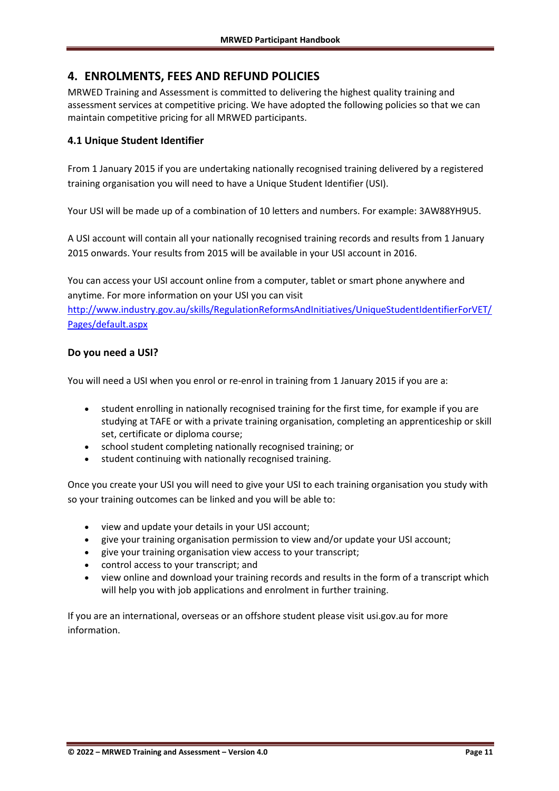## <span id="page-10-0"></span>**4. ENROLMENTS, FEES AND REFUND POLICIES**

MRWED Training and Assessment is committed to delivering the highest quality training and assessment services at competitive pricing. We have adopted the following policies so that we can maintain competitive pricing for all MRWED participants.

#### <span id="page-10-1"></span>**4.1 Unique Student Identifier**

From 1 January 2015 if you are undertaking nationally recognised training delivered by a registered training organisation you will need to have a Unique Student Identifier (USI).

Your USI will be made up of a combination of 10 letters and numbers. For example: 3AW88YH9U5.

A USI account will contain all your nationally recognised training records and results from 1 January 2015 onwards. Your results from 2015 will be available in your USI account in 2016.

You can access your USI account online from a computer, tablet or smart phone anywhere and anytime. For more information on your USI you can visit

[http://www.industry.gov.au/skills/RegulationReformsAndInitiatives/UniqueStudentIdentifierForVET/](http://www.industry.gov.au/skills/RegulationReformsAndInitiatives/UniqueStudentIdentifierForVET/Pages/default.aspx) [Pages/default.aspx](http://www.industry.gov.au/skills/RegulationReformsAndInitiatives/UniqueStudentIdentifierForVET/Pages/default.aspx)

#### **Do you need a USI?**

You will need a USI when you enrol or re-enrol in training from 1 January 2015 if you are a:

- student enrolling in nationally recognised training for the first time, for example if you are studying at TAFE or with a private training organisation, completing an apprenticeship or skill set, certificate or diploma course;
- school student completing nationally recognised training; or
- student continuing with nationally recognised training.

Once you create your USI you will need to give your USI to each training organisation you study with so your training outcomes can be linked and you will be able to:

- view and update your details in your USI account;
- give your training organisation permission to view and/or update your USI account;
- give your training organisation view access to your transcript;
- control access to your transcript; and
- view online and download your training records and results in the form of a transcript which will help you with job applications and enrolment in further training.

If you are an international, overseas or an offshore student please visit usi.gov.au for more information.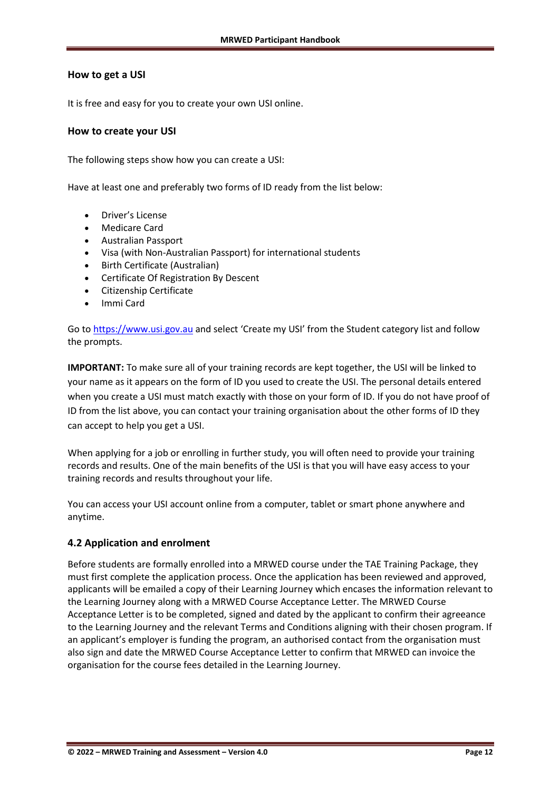#### **How to get a USI**

It is free and easy for you to create your own USI online.

#### **How to create your USI**

The following steps show how you can create a USI:

Have at least one and preferably two forms of ID ready from the list below:

- Driver's License
- Medicare Card
- Australian Passport
- Visa (with Non-Australian Passport) for international students
- Birth Certificate (Australian)
- Certificate Of Registration By Descent
- Citizenship Certificate
- Immi Card

Go to [https://www.usi.gov.au](https://www.usi.gov.au/) and select 'Create my USI' from the Student category list and follow the prompts.

**IMPORTANT:** To make sure all of your training records are kept together, the USI will be linked to your name as it appears on the form of ID you used to create the USI. The personal details entered when you create a USI must match exactly with those on your form of ID. If you do not have proof of ID from the list above, you can contact your training organisation about the other forms of ID they can accept to help you get a USI.

When applying for a job or enrolling in further study, you will often need to provide your training records and results. One of the main benefits of the USI is that you will have easy access to your training records and results throughout your life.

You can access your USI account online from a computer, tablet or smart phone anywhere and anytime.

#### <span id="page-11-0"></span>**4.2 Application and enrolment**

Before students are formally enrolled into a MRWED course under the TAE Training Package, they must first complete the application process. Once the application has been reviewed and approved, applicants will be emailed a copy of their Learning Journey which encases the information relevant to the Learning Journey along with a MRWED Course Acceptance Letter. The MRWED Course Acceptance Letter is to be completed, signed and dated by the applicant to confirm their agreeance to the Learning Journey and the relevant Terms and Conditions aligning with their chosen program. If an applicant's employer is funding the program, an authorised contact from the organisation must also sign and date the MRWED Course Acceptance Letter to confirm that MRWED can invoice the organisation for the course fees detailed in the Learning Journey.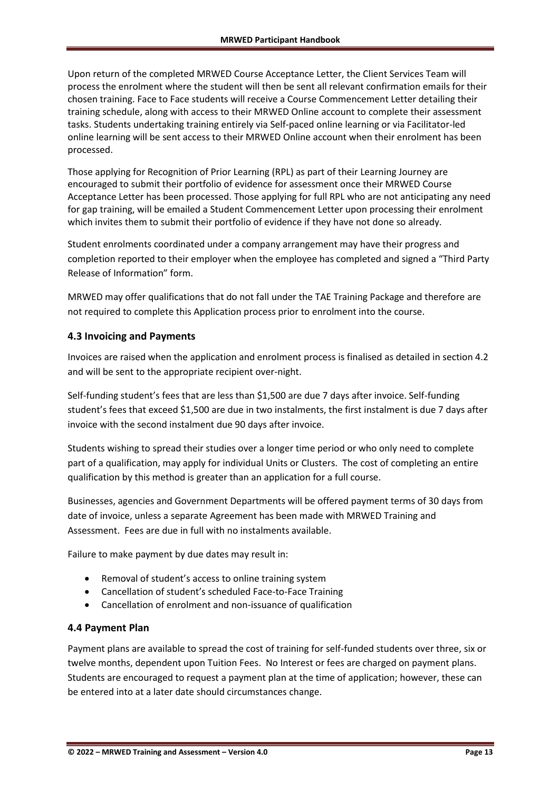Upon return of the completed MRWED Course Acceptance Letter, the Client Services Team will process the enrolment where the student will then be sent all relevant confirmation emails for their chosen training. Face to Face students will receive a Course Commencement Letter detailing their training schedule, along with access to their MRWED Online account to complete their assessment tasks. Students undertaking training entirely via Self-paced online learning or via Facilitator-led online learning will be sent access to their MRWED Online account when their enrolment has been processed.

Those applying for Recognition of Prior Learning (RPL) as part of their Learning Journey are encouraged to submit their portfolio of evidence for assessment once their MRWED Course Acceptance Letter has been processed. Those applying for full RPL who are not anticipating any need for gap training, will be emailed a Student Commencement Letter upon processing their enrolment which invites them to submit their portfolio of evidence if they have not done so already.

Student enrolments coordinated under a company arrangement may have their progress and completion reported to their employer when the employee has completed and signed a "Third Party Release of Information" form.

MRWED may offer qualifications that do not fall under the TAE Training Package and therefore are not required to complete this Application process prior to enrolment into the course.

#### <span id="page-12-0"></span>**4.3 Invoicing and Payments**

Invoices are raised when the application and enrolment process is finalised as detailed in section 4.2 and will be sent to the appropriate recipient over-night.

Self-funding student's fees that are less than \$1,500 are due 7 days after invoice. Self-funding student's fees that exceed \$1,500 are due in two instalments, the first instalment is due 7 days after invoice with the second instalment due 90 days after invoice.

Students wishing to spread their studies over a longer time period or who only need to complete part of a qualification, may apply for individual Units or Clusters. The cost of completing an entire qualification by this method is greater than an application for a full course.

Businesses, agencies and Government Departments will be offered payment terms of 30 days from date of invoice, unless a separate Agreement has been made with MRWED Training and Assessment. Fees are due in full with no instalments available.

Failure to make payment by due dates may result in:

- Removal of student's access to online training system
- Cancellation of student's scheduled Face-to-Face Training
- Cancellation of enrolment and non-issuance of qualification

#### <span id="page-12-1"></span>**4.4 Payment Plan**

Payment plans are available to spread the cost of training for self-funded students over three, six or twelve months, dependent upon Tuition Fees. No Interest or fees are charged on payment plans. Students are encouraged to request a payment plan at the time of application; however, these can be entered into at a later date should circumstances change.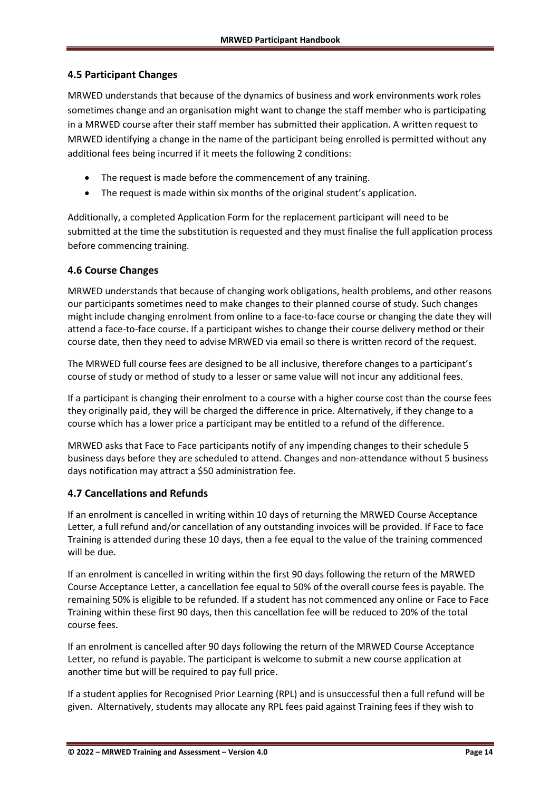#### <span id="page-13-0"></span>**4.5 Participant Changes**

MRWED understands that because of the dynamics of business and work environments work roles sometimes change and an organisation might want to change the staff member who is participating in a MRWED course after their staff member has submitted their application. A written request to MRWED identifying a change in the name of the participant being enrolled is permitted without any additional fees being incurred if it meets the following 2 conditions:

- The request is made before the commencement of any training.
- The request is made within six months of the original student's application.

Additionally, a completed Application Form for the replacement participant will need to be submitted at the time the substitution is requested and they must finalise the full application process before commencing training.

#### <span id="page-13-1"></span>**4.6 Course Changes**

MRWED understands that because of changing work obligations, health problems, and other reasons our participants sometimes need to make changes to their planned course of study. Such changes might include changing enrolment from online to a face-to-face course or changing the date they will attend a face-to-face course. If a participant wishes to change their course delivery method or their course date, then they need to advise MRWED via email so there is written record of the request.

The MRWED full course fees are designed to be all inclusive, therefore changes to a participant's course of study or method of study to a lesser or same value will not incur any additional fees.

If a participant is changing their enrolment to a course with a higher course cost than the course fees they originally paid, they will be charged the difference in price. Alternatively, if they change to a course which has a lower price a participant may be entitled to a refund of the difference.

MRWED asks that Face to Face participants notify of any impending changes to their schedule 5 business days before they are scheduled to attend. Changes and non-attendance without 5 business days notification may attract a \$50 administration fee.

#### <span id="page-13-2"></span>**4.7 Cancellations and Refunds**

If an enrolment is cancelled in writing within 10 days of returning the MRWED Course Acceptance Letter, a full refund and/or cancellation of any outstanding invoices will be provided. If Face to face Training is attended during these 10 days, then a fee equal to the value of the training commenced will be due.

If an enrolment is cancelled in writing within the first 90 days following the return of the MRWED Course Acceptance Letter, a cancellation fee equal to 50% of the overall course fees is payable. The remaining 50% is eligible to be refunded. If a student has not commenced any online or Face to Face Training within these first 90 days, then this cancellation fee will be reduced to 20% of the total course fees.

If an enrolment is cancelled after 90 days following the return of the MRWED Course Acceptance Letter, no refund is payable. The participant is welcome to submit a new course application at another time but will be required to pay full price.

If a student applies for Recognised Prior Learning (RPL) and is unsuccessful then a full refund will be given. Alternatively, students may allocate any RPL fees paid against Training fees if they wish to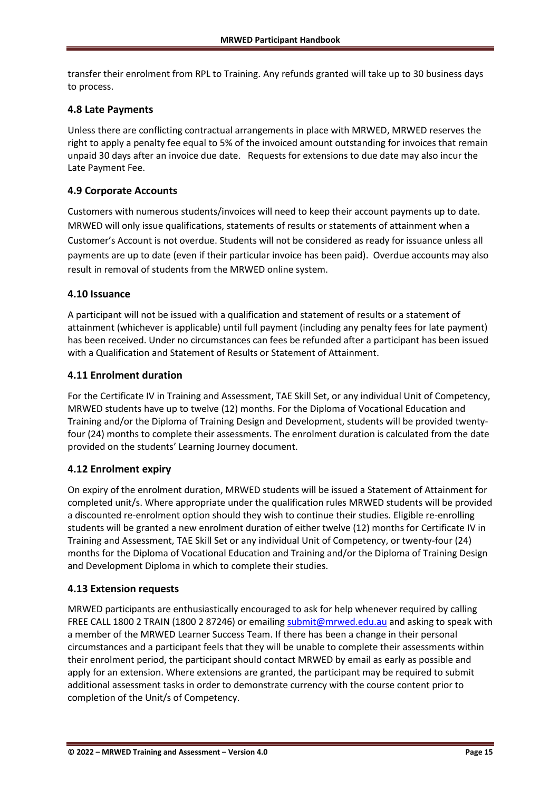transfer their enrolment from RPL to Training. Any refunds granted will take up to 30 business days to process.

#### <span id="page-14-0"></span>**4.8 Late Payments**

Unless there are conflicting contractual arrangements in place with MRWED, MRWED reserves the right to apply a penalty fee equal to 5% of the invoiced amount outstanding for invoices that remain unpaid 30 days after an invoice due date. Requests for extensions to due date may also incur the Late Payment Fee.

#### <span id="page-14-1"></span>**4.9 Corporate Accounts**

Customers with numerous students/invoices will need to keep their account payments up to date. MRWED will only issue qualifications, statements of results or statements of attainment when a Customer's Account is not overdue. Students will not be considered as ready for issuance unless all payments are up to date (even if their particular invoice has been paid). Overdue accounts may also result in removal of students from the MRWED online system.

#### <span id="page-14-2"></span>**4.10 Issuance**

A participant will not be issued with a qualification and statement of results or a statement of attainment (whichever is applicable) until full payment (including any penalty fees for late payment) has been received. Under no circumstances can fees be refunded after a participant has been issued with a Qualification and Statement of Results or Statement of Attainment.

#### <span id="page-14-3"></span>**4.11 Enrolment duration**

For the Certificate IV in Training and Assessment, TAE Skill Set, or any individual Unit of Competency, MRWED students have up to twelve (12) months. For the Diploma of Vocational Education and Training and/or the Diploma of Training Design and Development, students will be provided twentyfour (24) months to complete their assessments. The enrolment duration is calculated from the date provided on the students' Learning Journey document.

#### <span id="page-14-4"></span>**4.12 Enrolment expiry**

On expiry of the enrolment duration, MRWED students will be issued a Statement of Attainment for completed unit/s. Where appropriate under the qualification rules MRWED students will be provided a discounted re-enrolment option should they wish to continue their studies. Eligible re-enrolling students will be granted a new enrolment duration of either twelve (12) months for Certificate IV in Training and Assessment, TAE Skill Set or any individual Unit of Competency, or twenty-four (24) months for the Diploma of Vocational Education and Training and/or the Diploma of Training Design and Development Diploma in which to complete their studies.

#### <span id="page-14-5"></span>**4.13 Extension requests**

MRWED participants are enthusiastically encouraged to ask for help whenever required by calling FREE CALL 1800 2 TRAIN (1800 2 87246) or emailin[g submit@mrwed.edu.au](mailto:submit@mrwed.edu.au) and asking to speak with a member of the MRWED Learner Success Team. If there has been a change in their personal circumstances and a participant feels that they will be unable to complete their assessments within their enrolment period, the participant should contact MRWED by email as early as possible and apply for an extension. Where extensions are granted, the participant may be required to submit additional assessment tasks in order to demonstrate currency with the course content prior to completion of the Unit/s of Competency.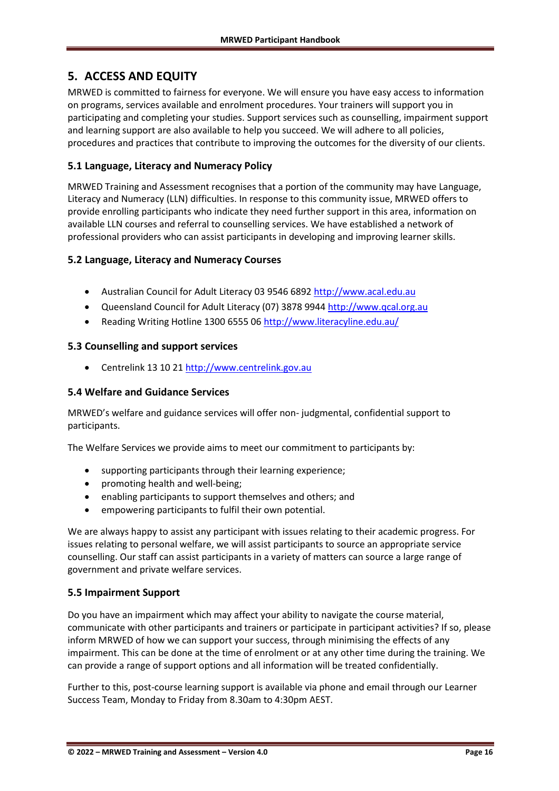## <span id="page-15-0"></span>**5. ACCESS AND EQUITY**

MRWED is committed to fairness for everyone. We will ensure you have easy access to information on programs, services available and enrolment procedures. Your trainers will support you in participating and completing your studies. Support services such as counselling, impairment support and learning support are also available to help you succeed. We will adhere to all policies, procedures and practices that contribute to improving the outcomes for the diversity of our clients.

#### <span id="page-15-1"></span>**5.1 Language, Literacy and Numeracy Policy**

MRWED Training and Assessment recognises that a portion of the community may have Language, Literacy and Numeracy (LLN) difficulties. In response to this community issue, MRWED offers to provide enrolling participants who indicate they need further support in this area, information on available LLN courses and referral to counselling services. We have established a network of professional providers who can assist participants in developing and improving learner skills.

#### <span id="page-15-2"></span>**5.2 Language, Literacy and Numeracy Courses**

- Australian Council for Adult Literacy 03 9546 6892 [http://www.acal.edu.au](http://www.acal.edu.au/)
- Queensland Council for Adult Literacy (07) 3878 9944 [http://www.qcal.org.au](http://www.qcal.org.au/)
- Reading Writing Hotline 1300 6555 0[6 http://www.literacyline.edu.au/](http://www.literacyline.edu.au/)

#### <span id="page-15-3"></span>**5.3 Counselling and support services**

• Centrelink 13 10 21 [http://www.centrelink.gov.au](http://www.centrelink.gov.au/)

#### <span id="page-15-4"></span>**5.4 Welfare and Guidance Services**

MRWED's welfare and guidance services will offer non- judgmental, confidential support to participants.

The Welfare Services we provide aims to meet our commitment to participants by:

- supporting participants through their learning experience;
- promoting health and well-being;
- enabling participants to support themselves and others; and
- empowering participants to fulfil their own potential.

We are always happy to assist any participant with issues relating to their academic progress. For issues relating to personal welfare, we will assist participants to source an appropriate service counselling. Our staff can assist participants in a variety of matters can source a large range of government and private welfare services.

## <span id="page-15-5"></span>**5.5 Impairment Support**

Do you have an impairment which may affect your ability to navigate the course material, communicate with other participants and trainers or participate in participant activities? If so, please inform MRWED of how we can support your success, through minimising the effects of any impairment. This can be done at the time of enrolment or at any other time during the training. We can provide a range of support options and all information will be treated confidentially.

Further to this, post-course learning support is available via phone and email through our Learner Success Team, Monday to Friday from 8.30am to 4:30pm AEST.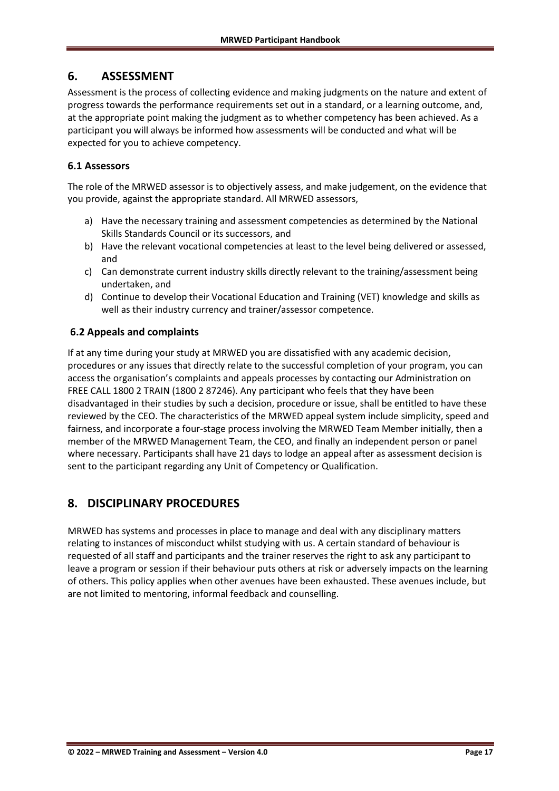## <span id="page-16-0"></span>**6. ASSESSMENT**

Assessment is the process of collecting evidence and making judgments on the nature and extent of progress towards the performance requirements set out in a standard, or a learning outcome, and, at the appropriate point making the judgment as to whether competency has been achieved. As a participant you will always be informed how assessments will be conducted and what will be expected for you to achieve competency.

#### <span id="page-16-1"></span>**6.1 Assessors**

The role of the MRWED assessor is to objectively assess, and make judgement, on the evidence that you provide, against the appropriate standard. All MRWED assessors,

- a) Have the necessary training and assessment competencies as determined by the National Skills Standards Council or its successors, and
- b) Have the relevant vocational competencies at least to the level being delivered or assessed, and
- c) Can demonstrate current industry skills directly relevant to the training/assessment being undertaken, and
- d) Continue to develop their Vocational Education and Training (VET) knowledge and skills as well as their industry currency and trainer/assessor competence.

#### <span id="page-16-2"></span>**6.2 Appeals and complaints**

If at any time during your study at MRWED you are dissatisfied with any academic decision, procedures or any issues that directly relate to the successful completion of your program, you can access the organisation's complaints and appeals processes by contacting our Administration on FREE CALL 1800 2 TRAIN (1800 2 87246). Any participant who feels that they have been disadvantaged in their studies by such a decision, procedure or issue, shall be entitled to have these reviewed by the CEO. The characteristics of the MRWED appeal system include simplicity, speed and fairness, and incorporate a four-stage process involving the MRWED Team Member initially, then a member of the MRWED Management Team, the CEO, and finally an independent person or panel where necessary. Participants shall have 21 days to lodge an appeal after as assessment decision is sent to the participant regarding any Unit of Competency or Qualification.

## <span id="page-16-3"></span>**8. DISCIPLINARY PROCEDURES**

MRWED has systems and processes in place to manage and deal with any disciplinary matters relating to instances of misconduct whilst studying with us. A certain standard of behaviour is requested of all staff and participants and the trainer reserves the right to ask any participant to leave a program or session if their behaviour puts others at risk or adversely impacts on the learning of others. This policy applies when other avenues have been exhausted. These avenues include, but are not limited to mentoring, informal feedback and counselling.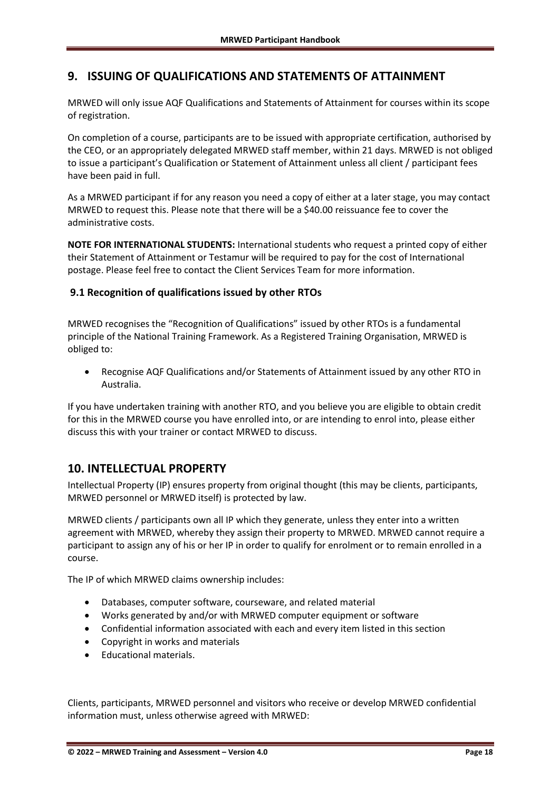## <span id="page-17-0"></span>**9. ISSUING OF QUALIFICATIONS AND STATEMENTS OF ATTAINMENT**

MRWED will only issue AQF Qualifications and Statements of Attainment for courses within its scope of registration.

On completion of a course, participants are to be issued with appropriate certification, authorised by the CEO, or an appropriately delegated MRWED staff member, within 21 days. MRWED is not obliged to issue a participant's Qualification or Statement of Attainment unless all client / participant fees have been paid in full.

As a MRWED participant if for any reason you need a copy of either at a later stage, you may contact MRWED to request this. Please note that there will be a \$40.00 reissuance fee to cover the administrative costs.

**NOTE FOR INTERNATIONAL STUDENTS:** International students who request a printed copy of either their Statement of Attainment or Testamur will be required to pay for the cost of International postage. Please feel free to contact the Client Services Team for more information.

#### <span id="page-17-1"></span>**9.1 Recognition of qualifications issued by other RTOs**

MRWED recognises the "Recognition of Qualifications" issued by other RTOs is a fundamental principle of the National Training Framework. As a Registered Training Organisation, MRWED is obliged to:

• Recognise AQF Qualifications and/or Statements of Attainment issued by any other RTO in Australia.

If you have undertaken training with another RTO, and you believe you are eligible to obtain credit for this in the MRWED course you have enrolled into, or are intending to enrol into, please either discuss this with your trainer or contact MRWED to discuss.

## <span id="page-17-2"></span>**10. INTELLECTUAL PROPERTY**

Intellectual Property (IP) ensures property from original thought (this may be clients, participants, MRWED personnel or MRWED itself) is protected by law.

MRWED clients / participants own all IP which they generate, unless they enter into a written agreement with MRWED, whereby they assign their property to MRWED. MRWED cannot require a participant to assign any of his or her IP in order to qualify for enrolment or to remain enrolled in a course.

The IP of which MRWED claims ownership includes:

- Databases, computer software, courseware, and related material
- Works generated by and/or with MRWED computer equipment or software
- Confidential information associated with each and every item listed in this section
- Copyright in works and materials
- Educational materials.

Clients, participants, MRWED personnel and visitors who receive or develop MRWED confidential information must, unless otherwise agreed with MRWED: